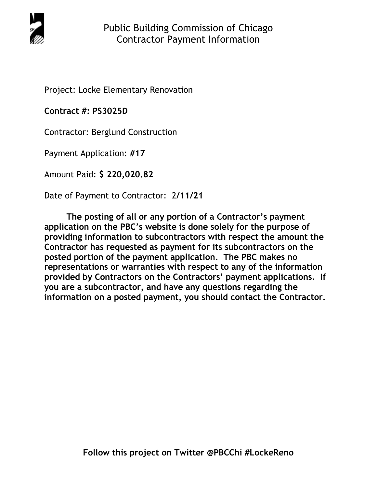

Project: Locke Elementary Renovation

**Contract #: PS3025D**

Contractor: Berglund Construction

Payment Application: **#17** 

Amount Paid: **\$ 220,020.82** 

Date of Payment to Contractor: 2**/11/21** 

**The posting of all or any portion of a Contractor's payment application on the PBC's website is done solely for the purpose of providing information to subcontractors with respect the amount the Contractor has requested as payment for its subcontractors on the posted portion of the payment application. The PBC makes no representations or warranties with respect to any of the information provided by Contractors on the Contractors' payment applications. If you are a subcontractor, and have any questions regarding the information on a posted payment, you should contact the Contractor.**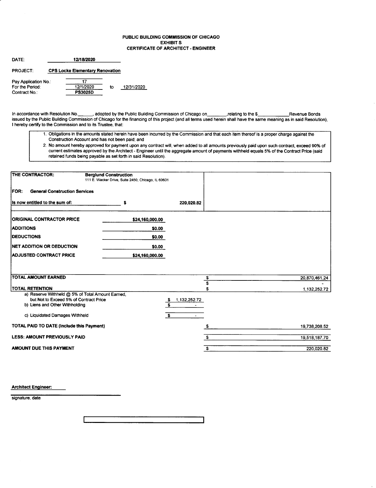### PUBLIC BUILDING COMMISSION OF CHICAGO EXHIBIT S CERTIFICATE OF ARCHITECT - ENGINEER

| DATE:              | 12/18/2020                             |    |            |
|--------------------|----------------------------------------|----|------------|
| <b>PROJECT:</b>    | <b>CPS Locke Elementary Renovation</b> |    |            |
| Pay Application No |                                        |    |            |
| For the Period:    | 12/1/2020                              | to | 12/31/2020 |
| Contract No.:      | <b>PS3025D</b>                         |    |            |

In accordance with Resolution No. Come adopted by the Public Building Commission of Chicago on The relating to the \$Revenue Bonds issued by the Public Building Commission of Chicago for the financing of this project (and all terms used herein shall have the same meaning as in said Resolution), I hereby certify to the Commission and to its Trustee, that:

- 1. Obligations in the amounts stated herein have been incurred by the Commission and that each item thereof is a proper charge against the Construction Account and has not been paid; and
- 2. No amount hereby approved for payment upon any conlract will, when added to all amounts previously paid upon such contract, exceed 90% of current estimates approved by the Architect - Engineer until the aggregate amount of payments withheld equals 5% of the Contract Price (said retained funds being payable as set forth in said Resolution).

| THE CONTRACTOR:                                     | <b>Berglund Construction</b><br>111 E. Wacker Drive, Suite 2450, Chicago, IL 60601 |                                    |               |
|-----------------------------------------------------|------------------------------------------------------------------------------------|------------------------------------|---------------|
| <b>FOR:</b><br><b>General Construction Services</b> |                                                                                    |                                    |               |
| Is now entitled to the sum of:                      | s                                                                                  | 220,020.82                         |               |
| <b>ORIGINAL CONTRACTOR PRICE</b>                    | \$24,160,000.00                                                                    |                                    |               |
| <b>ADDITIONS</b>                                    | \$0.00                                                                             |                                    |               |
| <b>DEDUCTIONS</b>                                   | \$0.00                                                                             |                                    |               |
| NET ADDITION OR DEDUCTION                           | \$0.00                                                                             |                                    |               |
| <b>ADJUSTED CONTRACT PRICE</b>                      | \$24,160,000.00                                                                    |                                    |               |
|                                                     |                                                                                    |                                    |               |
| <b>TOTAL AMOUNT EARNED</b>                          |                                                                                    |                                    |               |
|                                                     |                                                                                    | \$<br>s                            | 20,870,461.24 |
| <b>TOTAL RETENTION</b>                              |                                                                                    |                                    | 1,132,252.72  |
| a) Reserve Withheld @ 5% of Total Amount Earned,    |                                                                                    |                                    |               |
| but Not to Exceed 5% of Contract Price              |                                                                                    | 1,132,252.72<br>$\mathbf{r}$<br>\$ |               |
| b) Liens and Other Withholding                      |                                                                                    |                                    |               |
| c) Liquidated Damages Withheld                      |                                                                                    | $\mathbf{s}$<br>$\sim$             |               |
| <b>TOTAL PAID TO DATE (Include this Payment)</b>    |                                                                                    |                                    | 19,738,208.52 |
| <b>LESS: AMOUNT PREVIOUSLY PAID</b>                 |                                                                                    | s.                                 | 19,518,187.70 |
| <b>AMOUNT DUE THIS PAYMENT</b>                      |                                                                                    | \$                                 | 220,020.82    |

Architect Engineer:

signature, date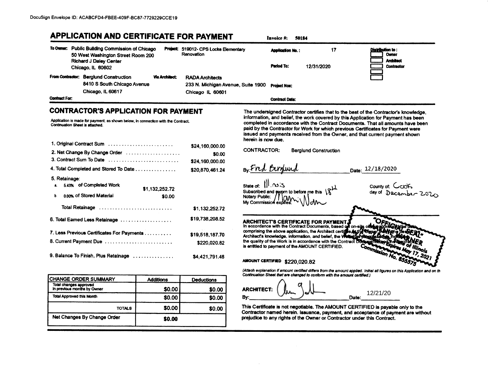**TOTALS** 

Net Changes By Change Order

\$0.00

\$0.00

\$0.00

|                      | To Owner: Public Building Commission of Chicago<br>50 West Washington Street Room 200<br>Richard J Daley Center<br>Chicago, IL 60602                                |                       | Project: 519012- CPS Locke Elementary<br>Renovation                              |                                            | <b>Application No.:</b><br>Period To:                  | 17<br>12/31/2020                                                                                                                                 | Di <b>stribution to</b> :<br><b>Owner</b><br><b>Architect</b><br>Contractor                                                                                                                                                                                                                                                                                                                                                      |
|----------------------|---------------------------------------------------------------------------------------------------------------------------------------------------------------------|-----------------------|----------------------------------------------------------------------------------|--------------------------------------------|--------------------------------------------------------|--------------------------------------------------------------------------------------------------------------------------------------------------|----------------------------------------------------------------------------------------------------------------------------------------------------------------------------------------------------------------------------------------------------------------------------------------------------------------------------------------------------------------------------------------------------------------------------------|
| <b>Contract For:</b> | From Contractor: Berglund Construction<br>8410 S South Chicago Avenue<br>Chicago, IL 60617                                                                          | <b>Via Architect:</b> | <b>RADA Architects</b><br>233 N. Michigan Avenue, Suite 1900<br>Chicago IL 60601 |                                            | <b>Project Nos:</b><br><b>Contract Date:</b>           |                                                                                                                                                  |                                                                                                                                                                                                                                                                                                                                                                                                                                  |
|                      | <b>CONTRACTOR'S APPLICATION FOR PAYMENT</b><br>Application is made for payment, as shown below, in connection with the Contract,<br>Continuation Sheet is attached. |                       |                                                                                  | herein is now due.                         |                                                        |                                                                                                                                                  | The undersigned Contractor certifies that to the best of the Contractor's knowledge,<br>information, and belief, the work covered by this Application for Payment has been<br>completed in accordance with the Contract Documents. That all amounts have been<br>paid by the Contractor for Work for which previous Certificates for Payment were<br>issued and payments received from the Owner, and that current payment shown |
|                      | 1. Original Contract Sum                                                                                                                                            |                       | \$24,160,000.00                                                                  | <b>CONTRACTOR:</b>                         |                                                        | <b>Berglund Construction</b>                                                                                                                     |                                                                                                                                                                                                                                                                                                                                                                                                                                  |
|                      | 2. Net Change By Change Order                                                                                                                                       |                       | \$0.00                                                                           |                                            |                                                        |                                                                                                                                                  |                                                                                                                                                                                                                                                                                                                                                                                                                                  |
|                      | 3. Contract Sum To Date<br>4. Total Completed and Stored To Date                                                                                                    |                       | \$24,160,000.00                                                                  |                                            | By Fred Bergund                                        |                                                                                                                                                  | Date: 12/18/2020                                                                                                                                                                                                                                                                                                                                                                                                                 |
|                      |                                                                                                                                                                     |                       | \$20,870,461.24                                                                  |                                            |                                                        |                                                                                                                                                  |                                                                                                                                                                                                                                                                                                                                                                                                                                  |
| 5. Retainage:        | 5.43% of Completed Work                                                                                                                                             | \$1.132.252.72        |                                                                                  | state of: $  $ , no is                     |                                                        |                                                                                                                                                  | County of: CCOK                                                                                                                                                                                                                                                                                                                                                                                                                  |
| b.                   | 0.00% of Stored Material                                                                                                                                            | \$0.00                |                                                                                  | <b>Notary Public:</b><br>My Commission exp | Subscribed and sworn to before me this $\chi^{\mu\nu}$ |                                                                                                                                                  |                                                                                                                                                                                                                                                                                                                                                                                                                                  |
|                      |                                                                                                                                                                     |                       | \$1,132,252.72                                                                   |                                            |                                                        |                                                                                                                                                  |                                                                                                                                                                                                                                                                                                                                                                                                                                  |
|                      | 6. Total Earned Less Retainage                                                                                                                                      |                       | \$19,738,208.52                                                                  |                                            |                                                        | ARCHITECT'S CERTIFICATE FOR PAYMENT.                                                                                                             | OFFIGUAL<br>In accordance with the Contract Documents, based of on-site of the real                                                                                                                                                                                                                                                                                                                                              |
|                      | 7. Less Previous Certificates For Payments                                                                                                                          |                       | \$19,518,187.70                                                                  |                                            |                                                        | comprising the above application, the Architect certifies the party of the Architect's knowledge, information, and belief, the Wolfington Plants |                                                                                                                                                                                                                                                                                                                                                                                                                                  |
|                      | 8. Current Payment Due                                                                                                                                              |                       | \$220,020.82                                                                     |                                            |                                                        | is entitled to payment of the AMOUNT CERTIFIED.                                                                                                  | the quality of the Work is in accordance with the Contract Documents can                                                                                                                                                                                                                                                                                                                                                         |
|                      |                                                                                                                                                                     |                       | \$4,421,791.48                                                                   |                                            | AMOUNT CERTIFIED \$220,020.82                          |                                                                                                                                                  | Commission No. 8                                                                                                                                                                                                                                                                                                                                                                                                                 |
|                      |                                                                                                                                                                     |                       |                                                                                  |                                            |                                                        | Continuation Sheet that are changed to conform with the amount certified.)                                                                       | (Attach explanation if amount certified differs from the amount applied. Initial all figures on this Application and on th                                                                                                                                                                                                                                                                                                       |
|                      | CHANGE ORDER SUMMARY<br>Total changes approved                                                                                                                      | <b>Additions</b>      | <b>Deductions</b>                                                                |                                            |                                                        |                                                                                                                                                  |                                                                                                                                                                                                                                                                                                                                                                                                                                  |
|                      | In previous months by Owner                                                                                                                                         | \$0.00                | \$0.00                                                                           | <b>ARCHITECT:</b>                          |                                                        |                                                                                                                                                  | 12/21/20                                                                                                                                                                                                                                                                                                                                                                                                                         |
|                      | <b>Total Approved this Month</b>                                                                                                                                    | \$0.00                | \$0.00                                                                           | By:                                        |                                                        |                                                                                                                                                  | Date:                                                                                                                                                                                                                                                                                                                                                                                                                            |

This Certificate is not negotiable. The AMOUNT CERTIFIED is payable only to the<br>Contractor named herein. Issuance, payment, and acceptance of payment are without<br>prejudice to any rights of the Owner or Contractor under thi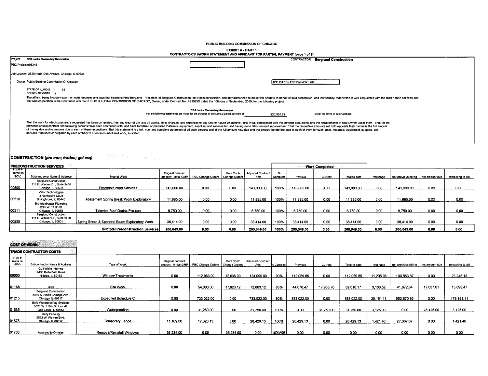PUBLIC BUILDING COMMISSION OF CHICAGO

#### EXHIBIT A - PART 1

|         | CONTRACTOR'S SWORN STATEMENT AND AFFIDAVIT FOR PARTIAL PAYMENT (page 1 of 2)                                                                                                                                                                                                                                                                                                                                                                                                                                                                                                                                                                                                                                                                                                                    |                                                                                                                                    |                                    |                                   |  |  |  |  |  |  |
|---------|-------------------------------------------------------------------------------------------------------------------------------------------------------------------------------------------------------------------------------------------------------------------------------------------------------------------------------------------------------------------------------------------------------------------------------------------------------------------------------------------------------------------------------------------------------------------------------------------------------------------------------------------------------------------------------------------------------------------------------------------------------------------------------------------------|------------------------------------------------------------------------------------------------------------------------------------|------------------------------------|-----------------------------------|--|--|--|--|--|--|
| Project | <b>CPS Locke Elementary Revovation</b>                                                                                                                                                                                                                                                                                                                                                                                                                                                                                                                                                                                                                                                                                                                                                          |                                                                                                                                    | CONTRACTOR                         | <b>Berglund Construction</b>      |  |  |  |  |  |  |
|         | PBC Project #05345                                                                                                                                                                                                                                                                                                                                                                                                                                                                                                                                                                                                                                                                                                                                                                              |                                                                                                                                    |                                    |                                   |  |  |  |  |  |  |
|         | Job Location 2828 North Oak Avenue, Chicago, IL 60634                                                                                                                                                                                                                                                                                                                                                                                                                                                                                                                                                                                                                                                                                                                                           |                                                                                                                                    |                                    |                                   |  |  |  |  |  |  |
|         | Owner Public Building Commission Of Chicago                                                                                                                                                                                                                                                                                                                                                                                                                                                                                                                                                                                                                                                                                                                                                     |                                                                                                                                    | <b>APPLICATION FOR PAYMENT #17</b> |                                   |  |  |  |  |  |  |
|         | STATE OF ILLINOIS }<br>SS<br>COUNTY OF COOK                                                                                                                                                                                                                                                                                                                                                                                                                                                                                                                                                                                                                                                                                                                                                     |                                                                                                                                    |                                    |                                   |  |  |  |  |  |  |
|         | The affiant, being first duly sworn on oath, deposes and says that he/she is Fred Berglund - President, of Berglund Construction, an Illinois corporation, and duly authorized to make this Affidavit in behalf of said corpor<br>that said corporation is the Contractor with the PUBLIC BUILDING COMMISSION OF CHICAGO. Owner, under Contract No. PS3025D dated the 10th day of September, 2019, for the following project:                                                                                                                                                                                                                                                                                                                                                                   |                                                                                                                                    |                                    |                                   |  |  |  |  |  |  |
|         |                                                                                                                                                                                                                                                                                                                                                                                                                                                                                                                                                                                                                                                                                                                                                                                                 | <b>CPS Locke Elementary Renovation</b><br>that the following statements are made for the purpose of procuring a partial payment of | 220.020.82                         | under the terms of said Contract: |  |  |  |  |  |  |
|         | That the work for which payment is requested has been completed, free and clear of any and all claims, liens, charges, and expenses of any kind or nature whatscever, and in full compliance with the contract documents and t<br>purposes of said contract, the following persons have been contracted with, and have furnished or prepared materials, equipment, supplies, and services for, and having done labor on said improvement. That the respective am<br>of money due and to become due to each of them respectively. That this statement is a full, true, and complete statement of all such persons and of the full amount now due and the amount heretofore paid to each of them for<br>services, furnished or prepared by each of them to or on account of said work, as stated: |                                                                                                                                    |                                    |                                   |  |  |  |  |  |  |

## CONSTRUCTION (pre con; trades; gel req)

 $\label{eq:3.1} \mathcal{O}(\mathcal{E}\left\{s\right\}) \leq \mathcal{O}(\mathcal{E}\left\{s\right\}) \leq \mathcal{E}\left\{s\right\} \leq \mathcal{E}\left\{s\right\} \leq \mathcal{E}\left\{s\right\}$ 

|                                                | <b>PRECONSTRUCTION SERVICES</b>                                                    |                                               |                                          |                                   |                   |                                 |          | --------Work Completed- |         |               |           |                                       |      |                   |
|------------------------------------------------|------------------------------------------------------------------------------------|-----------------------------------------------|------------------------------------------|-----------------------------------|-------------------|---------------------------------|----------|-------------------------|---------|---------------|-----------|---------------------------------------|------|-------------------|
| $\overline{\phantom{nnnm}}$<br>same on<br>SOV) | Subcontractor Name & Address                                                       | <b>Type of Work</b>                           | Original contract<br>amount: initial GMP | PBC Change Orders   Change Orders | <b>Genl Contr</b> | <b>Adjusted Contract</b><br>Amt | Complete | Previous                | Current | Total to date | retainage | net previous billing   net amount due |      | remaining to bill |
| 100500                                         | <b>Berglund Construction</b><br>111 E. Wacker Dr., Suite 2450<br>Chicago, IL 60601 | <b>Preconstruction Services</b>               | 143,000.00                               | 0.00                              | 0.00              | 143.000.00                      | 100%     | 143.000.00              | 0.00    | 143,000.00    | 0.00      | 143,000.00                            | 0.00 | 0.00              |
| 00510                                          | Valor Technologies<br>3 Northpoint Court<br>Bolingbrook, IL 60440                  | Abatement Spring Break Work Exploratory       | 11,885.00                                | 0.00                              | 0.00              | 11,885.00                       | 100%     | 11.885.00               | 000     | 11.885.00     | 0.00      | 11.885.00                             | 0.00 | 0.00              |
| 00511                                          | Brandenburger Plumbing<br>3245 W. 111th St.<br>Chicago, IL 60655                   | Televise Roof Drains Pre-con                  | 6,750.00                                 | 0.00                              | 0.00              | 6,750.00                        | 100%     | 6,750.00                | 0.00    | 6,750.00      | 0.00      | 6.750.00                              | 0.00 | 0.00              |
| 100530                                         | <b>Berglund Construction</b><br>111 E. Wacker Dr., Suite 2450<br>Chicago, IL 60601 | Spring Break & Spandrel Beam Exploratory Work | 38.414.00                                | 0.00                              | 0.00              | 38,414.00                       | 100%     | 38.414.00               | 0.00    | 38,414.00     | 0.00      | 38.414.00                             | 0.00 | 0.00              |
|                                                |                                                                                    | <b>Subtotal Preconstruction Services</b>      | 200.049.00                               | 0.00                              | 0.00              | 200.049.00                      | 100%     | 200.049.00              | 0.00    | 200,049.00    | 0.00      | 200.049.00                            | 0.00 | 0.00              |

# COST OF WORK

|                           | <b>ITRADE CONTRACTOR COSTS</b>                                                  |                             |                   |                                         |                             |                                 |            |            |           |               |           |                      |                |                   |
|---------------------------|---------------------------------------------------------------------------------|-----------------------------|-------------------|-----------------------------------------|-----------------------------|---------------------------------|------------|------------|-----------|---------------|-----------|----------------------|----------------|-------------------|
| ITEM #<br>(same on<br>sow | Subcontractor Name & Address                                                    | Type of Work                | Original contract | amount: Initial GMP   PBC Change Orders | Genl Contr<br>Change Orders | <b>Adjusted Contract</b><br>Amt | % Complete | Previous   | Current   | Total to date | retainage | net previous billing | net amount due | remaining to bill |
| 00000                     | Gail White Interiors<br>4430 Butterfield Road<br>Hillside, IL 60162             | <b>Window Treatments</b>    | 0.00              | 112.063.00                              | 12,036.00                   | 124.099.00                      | 90%        | 112,059.85 | 0.00      | 112,059.85    | 11.205.98 | 100,853.87           | 0.00           | 23,245.13         |
| 01168                     | <b>BCC</b>                                                                      | Site Work                   | 0.00              | 54,880.00                               | 17,923.12                   | 72,803.12                       | 85%        | 44.076.47  | 17,933.70 | 62,010.17     | 3,100.52  | 41.872.64            | 17,037.01      | 13,893.47         |
| 01215                     | <b>Berglund Construction</b><br>8410 S. South Chicago Ave.<br>Chicago, IL 60617 | <b>Expedited Schedule C</b> | 0.00              | 733.022.00                              | 0.00                        | 733,022.00                      | 80%        | 583,022.00 | 0.00      | 583,022.00    | 29,151.11 | 553,870.89           | 0.00           | 179.151.11        |
| 01535                     | Boto Waterproofing Systems<br>5521 W. 110th St. Unit #9<br>Oak Lawn, IL 60453   | Waterproofing               | 0.00              | 31,250.00                               | 0.00                        | 31,250.00                       | 100%       | 0.00       | 31,250.00 | 31,250.00     | 3,125.00  | 0.00                 | 28,125.00      | 3.125.00          |
| 01575                     | Unity Fencing<br>2532 W. Warren Blvd.<br>Chicago, IL 60612                      | Temporary Fence             | 11,109.00         | 17,320.13                               | 0.00                        | 28,429.13                       | 100%       | 28,429.13  | 0.00      | 28,429.13     | 1,421.46  | 27 007 67            | 0.00           | 1.421.46          |
| 01700                     | Awarded to Ornelas                                                              | Remove/Reinstall Windows    | 36,234.00         | 0.00                                    | -36,234.00                  | 0.00                            | #DIV/0!    | 0.00       | 0.00      | 0.00          | 0.00      | 0.00                 | 0.00           | 0.00              |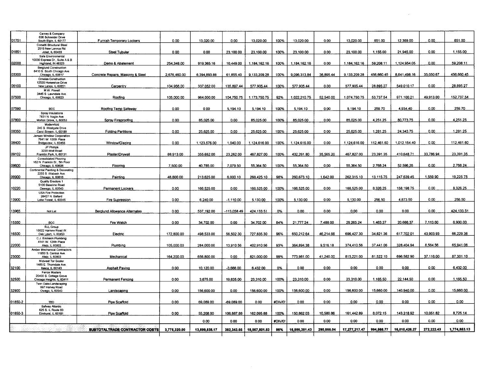|         | Carney & Company<br>636 Schneider Drive                           |                                   |              |               |             |               |         |               |            |               |            |               |            |              |
|---------|-------------------------------------------------------------------|-----------------------------------|--------------|---------------|-------------|---------------|---------|---------------|------------|---------------|------------|---------------|------------|--------------|
| 01751   | South Elgin, IL 60177                                             | Furnish Temporary Lockers         | 0.00         | 13,020.00     | 0.00        | 13,020.00     | 100%    | 13,020.00     | 0.00       | 13,020.00     | 651.00     | 12,369.00     | 0.00       | 651.00       |
|         | Corsetti Structural Steel<br>2515 New Lennox Rd.                  |                                   |              |               |             |               |         |               |            |               |            |               |            |              |
| 01851   | Joliet. IL 60433                                                  | <b>Steel Tubular</b>              | 0.00         | 0.00          | 23.100.00   | 23.100.00     | 100%    | 23.100.00     | 0.00       | 23.100.00     | 1.155.00   | 21.945.00     | 0.00       | 1.155.00     |
|         | Safe Environmental                                                |                                   |              |               |             |               |         |               |            |               |            |               |            |              |
| 02000   | 10030 Express Dr., Suite A & B<br>Highland, IN 46323              | Demo & Abatement                  | 254,348.00   | 919.365.16    | 10,449.00   | 1.184.162.16  | 100%    | 1.184.162.16  | 0.00       | 1.184.162.16  | 59.208.11  | 1.124.954.05  | 0.00       | 59.208.11    |
|         | <b>Berglund Construction</b>                                      |                                   |              |               |             |               |         |               |            |               |            |               |            |              |
| 03300   | 8410 S. South Chicago Ave.<br>Chicago, IL 60617                   | Concrete Repairs, Masonry & Steel | 2,676,460.00 | 6.394.893.88  | 61.855.40   | 9.133.209.28  | 100%    | 9.096.313.84  | 36.895.44  | 9.133.209.28  | 456.660.45 | 8.641.498.16  | 35,050.67  | 456,660.45   |
|         | <b>Ornelas Construction</b>                                       |                                   |              |               |             |               |         |               |            |               |            |               |            |              |
|         | 12520 Horseshoe Drive                                             |                                   |              |               |             |               |         |               |            |               |            |               |            |              |
| 06100   | New Lenox, IL 60651<br>M.W. Powell                                | Carpentry                         | 104,956.00   | 337.052.00    | 135,897.44  | 577,905.44    | 100%    | 577.905.44    | 0.00       | 577.905.44    | 28.895.27  | 549,010.17    | 0.00       | 28.895.27    |
|         | 3445 S. Lawndale Ave.                                             |                                   |              |               |             |               |         |               |            |               |            |               |            |              |
| 07500   | Chicago, IL 60623                                                 | Roofing                           | 105.000.00   | 964.000.00    | 104.750.75  | 1.173.750.75  | 92%     | 1.022.210.75  | 52.540.00  | 1.074.750.75  | 53,737.54  | 971.100.21    | 49.913.00  | 152.737.54   |
|         |                                                                   |                                   |              |               |             |               |         |               |            |               |            |               |            |              |
| 07590   | <b>BCC</b>                                                        | Roofing Temp Safeway              | 0.00         | 0.00          | 5,194.10    | 5,194.10      | 100%    | 5,194.10      | 0.00       | 5.194.10      | 259.70     | 4,934.40      | 0.00       | 259.70       |
|         | Spray Insulations<br>7831 N. Nagle Ave.                           |                                   |              |               |             |               |         |               |            |               |            |               |            |              |
| 07800   | Morton Grove, IL 60053                                            | Spray Fireproofing                | 0.00         | 85,025.00     | 0.00        | 85,025.00     | 100%    | 85,025.00     | 0.00       | 85.025.00     | 4.251.25   | 80.773.75     | 0.00       | 4,251.25     |
|         | Modernfold<br>240 S. Westgate Drive                               |                                   |              |               |             |               |         |               |            |               |            |               |            |              |
| 08350   | Carol Stream, IL 60188                                            | <b>Folding Partitions</b>         | 0.00         | 25,625.00     | 0.00        | 25,625.00     | 100%    | 25,625.00     | 0.00       | 25,625.00     | 1,281.25   | 24,343.75     | 0.00       | 1,281.25     |
|         | Jensen Window Corporation                                         |                                   |              |               |             |               |         |               |            |               |            |               |            |              |
| 08400   | 7641 W. 100th Place<br>Bridgeview, IL 60455                       | Window/Glazing                    | 0.00         | 1,123,576.00  | 1,040.00    | 1,124,616.00  | 100%    | 1,124,616.00  | 0.00       | 1,124,616.00  | 112,461.60 | 1.012.154.40  | 0.00       | 112,461.60   |
|         | JP Phillips                                                       |                                   |              |               |             |               |         |               |            |               |            |               |            |              |
| 09102   | 3220 Wolf Road<br>Franklin Park, IL 60131                         | Plaster/Drywall                   | 88,913.00    | 355,652.00    | 23,262.00   | 467,827.00    | 100%    | 432,261.80    | 35,565.20  | 467,827.00    | 23,391.35  | 410,648.71    | 33,786.94  | 23,391.35    |
|         | Consolidated Flooring                                             |                                   |              |               |             |               |         |               |            |               |            |               |            |              |
|         | 162 N. Franklin St., 5th Floor                                    |                                   |              |               |             |               |         |               |            |               |            | 52.596.26     | 0.00       |              |
| 09600   | Chicago, IL 60606<br><b>Continental Painting &amp; Decorating</b> | Flooring                          | 7,500.00     | 40,785.00     | 7,079.50    | 55,364.50     | 100%    | 55,364.50     | 0.00       | 55,364.50     | 2,768.24   |               |            | 2,768.24     |
|         | 2255 S. Wabash Ave.                                               |                                   |              |               |             |               |         |               |            |               |            |               |            |              |
| 09900   | Chicago, IL 60616<br>Quality Erectors 1                           | Painting                          | 48,800.00    | 213,625.00    | 6,000.10    | 268.425.10    | 98%     | 260.673.10    | 1,642.00   | 262.315.10    | 13,115.75  | 247,639.45    | 1,559.90   | 19,225.75    |
|         | 5100 Baseline Road                                                |                                   |              |               |             |               |         |               |            |               |            |               |            |              |
| 10220   | Oswego, IL 60543                                                  | Permanent Lockers                 | 0.00         | 166,525.00    | 0.00        | 166,525.00    | 100%    | 166.525.00    | 0.00       | 166,525.00    | 8.326.25   | 158.198.75    | 0.00       | 8,326.25     |
|         | <b>USA Fire Protection</b><br>28427 N. Ballard                    |                                   |              |               |             |               |         |               |            |               |            |               |            |              |
| 13900   | Lake Forest, IL 60045                                             | <b>Fire Supression</b>            | 0.00         | 6.240.00      | $-1.110.00$ | 5.130.00      | 100%    | 5.130.00      | 0.00       | 5.130.00      | 256.50     | 4.873.50      | 0.00       | 256.50       |
|         |                                                                   |                                   |              |               |             |               |         |               |            |               |            |               |            |              |
| 13965   | Not Let                                                           | Berglund Allowance Alternates     | 0.00         | 537, 192.00   | 113.058.49  | 424,133.51    | 0%      | 0.00          | 0.00       | 0.00          | 0.00       | 0.00          | 0.00       | 424,133.51   |
|         |                                                                   |                                   |              |               |             |               |         |               |            |               |            |               |            |              |
| 15350   | <b>BCC</b>                                                        | Fire Watch                        | 0.00         | 34.702.00     | 0.00        | 34.702.00     | 84%     | 21.777.24     | 7,488.00   | 29.265.24     | 1.463.27   | 20,688.37     | 7.113.60   | 6.900.03     |
|         | RJL Group                                                         |                                   |              |               |             |               |         |               |            |               |            |               |            |              |
| 16500   | 10022 Harnew Road W.<br>Oak Lawn, IL 60453                        | Electric                          | 172,800.00   | 498.533.00    | 56,502.30   | 727,835.30    | 96%     | 650,212.64    | 46.214.66  | 696.427.30    | 34,821.36  | 617,702.01    | 43,903.93  | 66,229.36    |
|         | C.J. Erickson Plumbing                                            |                                   |              |               |             |               |         |               |            |               |            |               |            |              |
| 22000   | 4141 W. 124th Place<br>Alsip, IL 60803                            | Plumbing                          | 105,000.00   | 284.000.00    | 13,910.56   | 402,910.56    | 93%     | 364.894.38    | 9.516.18   | 374.410.56    | 37,441.06  | 328.404.94    | 8,564.56   | 65,941.06    |
|         | <b>Amber Mechanical Contractors</b>                               |                                   |              |               |             |               |         |               |            |               |            |               |            |              |
|         | 11950 S. Central Ave.                                             |                                   |              | 656.800.00    |             |               |         | 773,981.00    | 41,240.00  | 815,221.00    | 81,522.10  | 696,582.90    | 37,116.00  | 87,301.10    |
| 23000   | Alsip, IL 60803<br>Midwest Tar Sealer                             | Mechanical                        | 164,200.00   |               | 0.00        | 821,000.00    | 99%     |               |            |               |            |               |            |              |
|         | 1485 E. Thorndale Ave.                                            |                                   |              |               |             |               |         |               |            |               |            |               |            |              |
| 32100   | Itasca, IL 60143<br><b>Fence Masters</b>                          | <b>Asphalt Paving</b>             | 0.00         | 10,120.00     | $-3.688.00$ | 6.432.00      | 0%      | 0.00          | 0.00       | 0.00          | 0.00       | 0.00          | 0.00       | 6,432.00     |
|         | 20400 S. Cottage Grove                                            |                                   |              |               |             |               |         |               |            |               |            |               |            |              |
| 32500   | Chicago Heights, IL 60411                                         | Permanent Fencing                 | 0.00         | 3.675.00      | 19,635.00   | 23,310.00     | 100%    | 23,310.00     | 0.00       | 23,310.00     | 1,165.50   | 22,144.50     | 0.00       | 1,165.50     |
|         | Twin Oaks Landscaping<br>997 Harvey Road                          |                                   |              |               |             |               |         |               |            |               |            |               |            |              |
| 32900   | Owego, IL 60543                                                   | Landscaping                       | 0.00         | 156,600.00    | 0.00        | 156,600.00    | 100%    | 156.600.00    | 0.00       | 156.600.00    | 15,660.00  | 140.940.00    | 0.00       | 15.660.00    |
|         |                                                                   |                                   |              |               |             |               |         |               |            |               |            |               |            |              |
| 01850-2 | TBD.                                                              | Pipe Scaffold                     | 0.00         | 69,089.00     | -69,089.00  | 0.00          | #DIV/0! | 0.00          | 0.00       | 0.00          | 0.00       | 0.00          | 0.00       | 0.00         |
|         | Safway Atlantic                                                   |                                   |              |               |             |               |         |               |            |               |            |               |            |              |
| 01850-3 | 625 S. IL Route 83<br>Elmhurst, IL 60181                          | Pipe Scaffold                     | 0.00         | 55,208.00     | 106,887.88  | 162,095.88    | 100%    | 150,862.03    | 10.580.86  | 161,442.89    | 8,072.15   | 143.318.92    | 10.051.82  | 8.725.14     |
|         |                                                                   |                                   |              |               |             |               |         |               |            |               |            |               |            |              |
|         |                                                                   |                                   |              | 0.00          | 0.00        | 0.00          | #DIV/0! | 0.00          | 0.00       | 0.00          | 0.00       | 0.00          | 0.00       | 0.00         |
|         |                                                                   | SUBTOTALTRADE CONTRACTOR COSTS    | 3,775,320.00 | 13,899,838.17 | 382,343.66  | 18,057,501.83 | 96%     | 16.986.351.43 | 290.866.04 | 17.277.217.47 | 994.568.77 | 16,010,426.27 | 272.222.43 | 1.774.853.13 |
|         |                                                                   |                                   |              |               |             |               |         |               |            |               |            |               |            |              |
|         |                                                                   |                                   |              |               |             |               |         |               |            |               |            |               |            |              |

 $\mathcal{L}^{\text{max}}_{\text{max}}$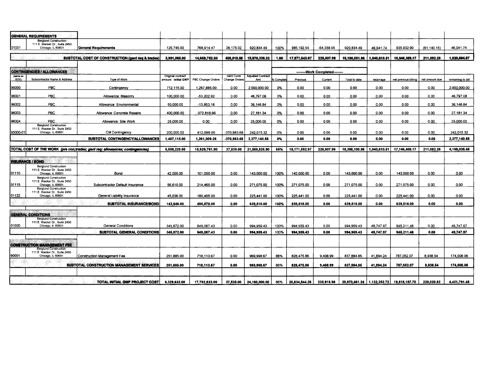|          | <b>GENERAL REQUIREMENTS</b>                                                        |                                                                              |                             |                   |                   |                          |                |               |                    |                              |              |                      |                |                   |
|----------|------------------------------------------------------------------------------------|------------------------------------------------------------------------------|-----------------------------|-------------------|-------------------|--------------------------|----------------|---------------|--------------------|------------------------------|--------------|----------------------|----------------|-------------------|
|          | <b>Berglund Construction</b><br>111 E. Wacker Dr., Suite 2450                      |                                                                              |                             |                   |                   |                          |                |               |                    |                              |              |                      |                |                   |
| 01001    | Chicago, IL 60601                                                                  | <b>General Requirements</b>                                                  | 125.745.00                  | 768.914.47        | 26.175.02         | 920.834.49               | 100%           | 985.192.54    | $-64.358.05$       | 920.834.49                   | 46.041.74    | 935.932.90           | (61.140.15)    | 46.041.74         |
|          |                                                                                    | SUBTOTAL COST OF CONSTRUCTION (gen) reg & trades)                            | 3.901.065.00                | 14.668.752.64     | 408.518.68        | 18.978.336.32            | 1.96           | 17.971.543.97 | 226,507.99         | 18.198.051.96                | 1.040.610.51 | 16.946.359.17        | 211.082.28     | 1.820,894.87      |
|          | <b>CONTINGENCIES / ALLOWANCES</b>                                                  |                                                                              |                             |                   |                   |                          |                |               | -Work Completed--- |                              |              |                      |                |                   |
| (same on |                                                                                    |                                                                              | Original contract           |                   | <b>Gent Contr</b> | <b>Adjusted Contract</b> |                |               |                    |                              |              |                      |                |                   |
| SOV)     | Subcontractor Name & Address                                                       | Type of Work                                                                 | amount: I <b>nitial GMP</b> | PBC Change Orders | Change Orders     | Amt                      | <b>Complet</b> | Previous      | Current            | Total to date                | retainage    | net previous billing | net amount due | remaining to bill |
| 95000    | <b>PBC</b>                                                                         | Contingency                                                                  | 712,115.00                  | 1,287,885.00      | 0.00              | 2,000,000.00             | 0%             | 0.00          | 0.00               | 0.00                         | 0.00         | 0.00                 | 0.00           | 2.000.000.00      |
| 96001    | PBC.                                                                               | Allowance: Masonry                                                           | 100,000.00                  | -53,202.92        | 0.00              | 46,797.08                | 0%             | 0.00          | 0.00               | 0.00                         | 0.00         | 0.00                 | 0.00           | 46,797.08         |
| 96002    | PBC.                                                                               | Allowance: Environmental                                                     | 50,000.00                   | $-13,853.16$      | 0.00              | 36,146.84                | 0%             | 0.00          | 0.00               | 0.00                         | 0.00         | 0.00                 | 0.00           | 36,146.84         |
| 96003    | <b>PBC</b>                                                                         | Allowance: Concrete Repairs                                                  | 400.000.00                  | -372.818.66       | 0.00              | 27.181.34                | 0%             | 0.00          | 0.00               | 0.00                         | 0.00         | 0.00                 | 0.00           | 27.181.34         |
| 96004    | PBC                                                                                | Allowance: Site Work                                                         | 25.000.00                   | 0.00              | 0.00              | 25,000.00                | 0%             | 0.00          | 0.00               | 0.00                         | 0.00         | 0.00                 | 0.00           | 25,000.00         |
|          | <b>Berglund Construction</b>                                                       |                                                                              |                             |                   |                   |                          |                |               |                    |                              |              |                      |                |                   |
| 95000-01 | 111 E. Wacker Dr., Suite 2450<br>Chicago, IL 60601                                 | CM Contingency                                                               | 200,000.00                  | 412,999.00        | -370.983.68       | 242,015.32               | 0%             | 0.00          | 0.00               | 0.00                         | 0.00         | 0.00                 | 0.00           | 242,015.32        |
|          |                                                                                    | SUBTOTAL CONTINGENCY/ALLOWANCES                                              | 1,487,115.00                | 1,261,009.26      | $-370,983.68$     | 2,377,140.58             | 0%             | 0.00          | 0.00               | 0.00                         | 0.00         | 0.00                 | 0.00           | 2,377,140.58      |
|          |                                                                                    |                                                                              |                             |                   |                   |                          |                |               |                    |                              |              |                      |                |                   |
|          |                                                                                    | TOTAL COST OF THE WORK (pre con;trades; geni req; allowances; contingencies) | 5,588,229.00                | 15,929,761.90     | 37,535.00         | 21,555,525.90            | 86%            | 18.171.592.97 | 226,507.99         | 18,398,100.96                | 1.040,610.51 | 17,146,408.17        | 211,082.28     | 4,198,035.45      |
|          |                                                                                    |                                                                              |                             |                   |                   |                          |                |               |                    |                              |              |                      |                |                   |
|          | <b>INSURANCE / BOND</b><br><b>Berglund Construction</b>                            |                                                                              |                             |                   |                   |                          |                |               |                    |                              |              |                      |                |                   |
| 01110    | 111 E. Wacker Dr., Suite 2450<br>Chicago, IL 60601                                 | Bond                                                                         | 42.000.00                   | 101.000.00        | 0.00              | 143.000.00               | 100%           | 143.000.00    | 0.00               | 143,000.00                   | 0.00         | 143,000.00           | 0.00           | 0.00              |
| 01115    | <b>Berglund Construction</b><br>111 E. Wacker Dr., Suite 2450<br>Chicago, IL 60601 | Subcontractor Default Insurance                                              | 56.610.00                   | 214,465.00        | 0.00              | 271.075.00               | 100%           | 271.075.00    | 0.00               | 271.075.00                   | 0.00         | 271.075.00           | 0.00           | 0.00              |
|          | <b>Berglund Construction</b><br>111 E. Wacker Dr., Suite 2450                      |                                                                              |                             |                   |                   |                          |                |               |                    |                              |              |                      |                |                   |
| 01122    | Chicago, IL 60601                                                                  | General Liability Insurance                                                  | 45.036.00                   | 180.405.00        | 0.00              | 225.441.00               | 100%           | 225.441.00    | 0.00               | 225,441.00                   | 0.00         | 225.441.00           | 0.00           | 0.00              |
|          |                                                                                    | SUBTOTAL INSURANCE/BOND                                                      | 143,646.00                  | 495,870.00        | 0.00              | 639,516.00               | 100%           | 639,516.00    | 0.00               | 639,516.00                   | 0.00         | 639,516.00           | 0.00           | 0.00              |
|          |                                                                                    |                                                                              |                             |                   |                   |                          |                |               |                    |                              |              |                      |                |                   |
|          | <b>GENERAL CONDITIONS</b>                                                          |                                                                              |                             |                   |                   |                          |                |               |                    |                              |              |                      |                |                   |
|          | <b>Berglund Construction</b><br>111 E. Wacker Dr., Suite 2450                      |                                                                              |                             |                   |                   |                          |                |               |                    |                              |              |                      |                |                   |
| 01000    | Chicago, II. 60601                                                                 | <b>General Conditions</b>                                                    | 345.872.00                  | 649.087.43        | 0.00              | 994.959.43               | 100%           | 994.959.43    | 0.00               | 994.959.43                   | 49.747.97    | 945.211.46           | 0.00           | 49.747.97         |
|          |                                                                                    | SUBTOTAL GENERAL CONDITIONS                                                  | 345,872.00                  | 649,087.43        | 0.00              | 994, 959.43              | 100%           | 994, 959.43   | 0.00               | 994, 959.43                  | 49,747.97    | 945,211.46           | 0.00           | 49,747.97         |
|          |                                                                                    |                                                                              |                             |                   |                   |                          |                |               |                    |                              |              |                      |                |                   |
|          | <b>CONSTRUCTION MANAGEMENT FEE</b><br><b>Berglund Construction</b>                 |                                                                              |                             |                   |                   |                          |                |               |                    |                              |              |                      |                |                   |
| 90001    | 111 E. Wacker Dr., Suite 2450<br>Chicago, IL 60601                                 | Construction Management Fee                                                  | 251,885.00                  | 718,113.67        | 0.00              | 969,998.67               | 86%            | 828,475.86    | 9,408.99           | 837, 884.85                  | 41,894.24    | 787.052.07           | 8.938.54       | 174,008.06        |
|          |                                                                                    |                                                                              |                             |                   |                   |                          |                |               |                    |                              |              |                      |                |                   |
|          |                                                                                    | SUBTOTAL CONSTRUCTION MANAGEMENT SERVICES                                    | 251,885.00                  | 718,113.67        | 0.00              | 969,998.67               | 86%            | 828,475.86    | 9,408.99           | 837,884.85                   | 41,894.24    | 787,052.07           | 8,938.54       | 174,008.06        |
|          |                                                                                    |                                                                              |                             |                   |                   |                          |                |               |                    |                              |              |                      |                |                   |
|          |                                                                                    | TOTAL INITIAL GMP PROJECT COST                                               | 6,329,632.00                | 17.792.833.00     | 37,535.00         | 24.160,000.00            | 86%            | 20,634,544.26 | 235,916.98         | 20.870.461.24   1.132.252.72 |              | 19,518,187.70        | 220,020.82     | 4,421,791.48      |
|          |                                                                                    |                                                                              |                             |                   |                   |                          |                |               |                    |                              |              |                      |                |                   |